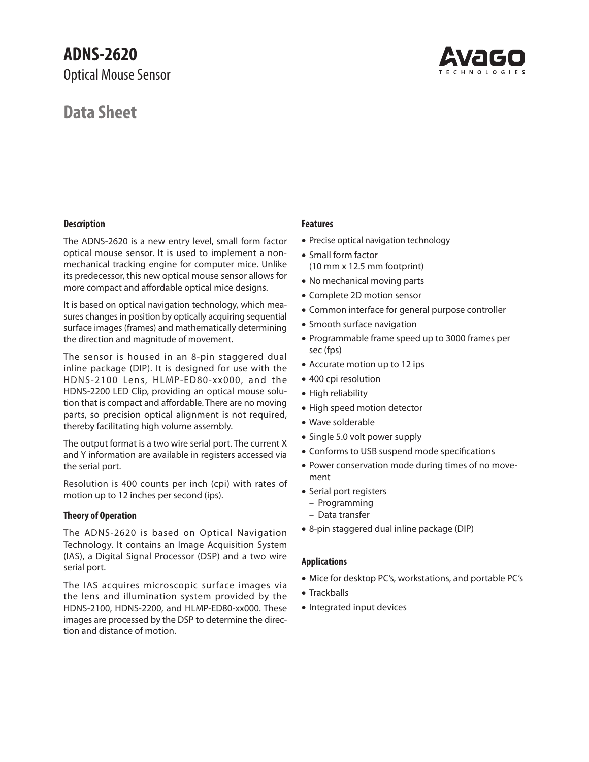## **ADNS-2620** Optical Mouse Sensor

## **Data Sheet**



## **Description**

The ADNS-2620 is a new entry level, small form factor optical mouse sensor. It is used to implement a nonmechanical tracking engine for computer mice. Unlike its predecessor, this new optical mouse sensor allows for more compact and affordable optical mice designs.

It is based on optical navigation technology, which measures changes in position by optically acquiring sequential surface images (frames) and mathematically determining the direction and magnitude of movement.

The sensor is housed in an 8-pin staggered dual inline package (DIP). It is designed for use with the HDNS-2100 Lens, HLMP-ED80-xx000, and the HDNS-2200 LED Clip, providing an optical mouse solution that is compact and affordable. There are no moving parts, so precision optical alignment is not required, thereby facilitating high volume assembly.

The output format is a two wire serial port. The current X and Y information are available in registers accessed via the serial port.

Resolution is 400 counts per inch (cpi) with rates of motion up to 12 inches per second (ips).

## **Theory of Operation**

The ADNS-2620 is based on Optical Navigation Technology. It contains an Image Acquisition System (IAS), a Digital Signal Processor (DSP) and a two wire serial port.

The IAS acquires microscopic surface images via the lens and illumination system provided by the HDNS-2100, HDNS-2200, and HLMP-ED80-xx000. These images are processed by the DSP to determine the direction and distance of motion.

## **Features**

- Precise optical navigation technology
- Small form factor (10 mm x 12.5 mm footprint)
- No mechanical moving parts
- Complete 2D motion sensor
- Common interface for general purpose controller
- Smooth surface navigation
- Programmable frame speed up to 3000 frames per sec (fps)
- Accurate motion up to 12 ips
- 400 cpi resolution
- High reliability
- High speed motion detector
- Wave solderable
- Single 5.0 volt power supply
- Conforms to USB suspend mode specifications
- Power conservation mode during times of no movement
- Serial port registers
	- Programming
	- Data transfer
- 8-pin staggered dual inline package (DIP)

## **Applications**

- Mice for desktop PC's, workstations, and portable PC's
- Trackballs
- Integrated input devices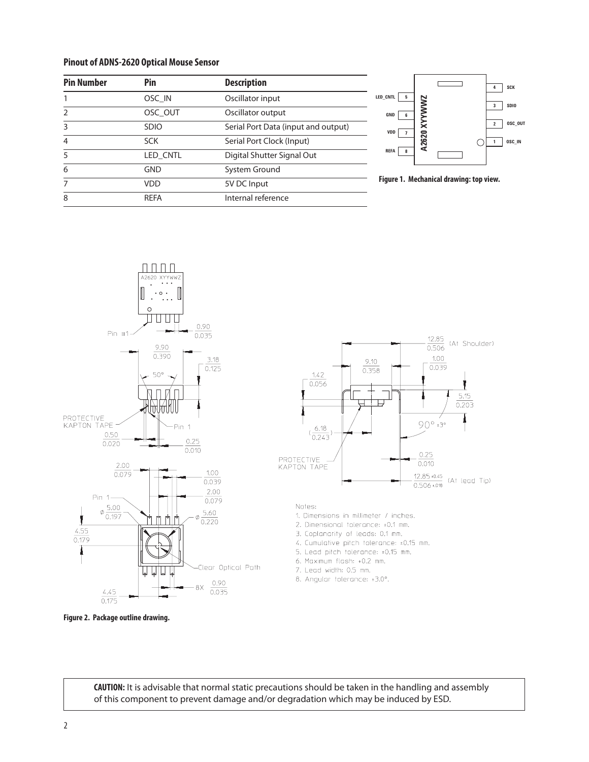#### **Pinout of ADNS-2620 Optical Mouse Sensor**

| <b>Pin Number</b> | Pin         | <b>Description</b>                  |
|-------------------|-------------|-------------------------------------|
|                   | OSC IN      | Oscillator input                    |
|                   | OSC OUT     | Oscillator output                   |
| ς                 | <b>SDIO</b> | Serial Port Data (input and output) |
| 4                 | <b>SCK</b>  | Serial Port Clock (Input)           |
|                   | LED CNTL    | Digital Shutter Signal Out          |
| 6                 | GND         | System Ground                       |
|                   | VDD         | 5V DC Input                         |
| 8                 | <b>RFFA</b> | Internal reference                  |









1. Dimensions in millimeter / inches.

- 2. Dimensional tolerance: ±0.1 mm.
- 3. Coplanarity of leads: 0.1 mm.
- 4. Cumulative pitch tolerance: ±0.15 mm.
- 5. Lead pitch tolerance: ±0.15 mm.
- 6. Maximum flash: +0.2 mm.
- 7. Lead width: 0.5 mm.
- 8. Angular tolerance: ±3.0°.

**Figure 2. Package outline drawing.** 

**CAUTION:** It is advisable that normal static precautions should be taken in the handling and assembly of this component to prevent damage and/or degradation which may be induced by ESD.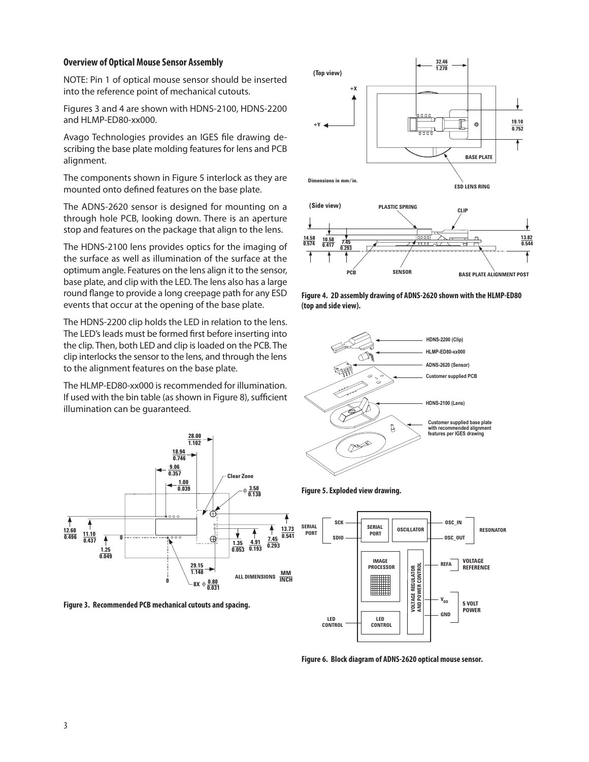## **Overview of Optical Mouse Sensor Assembly**

NOTE: Pin 1 of optical mouse sensor should be inserted into the reference point of mechanical cutouts.

Figures 3 and 4 are shown with HDNS-2100, HDNS-2200 and HLMP-ED80-xx000.

Avago Technologies provides an IGES file drawing describing the base plate molding features for lens and PCB alignment.

The components shown in Figure 5 interlock as they are mounted onto defined features on the base plate.

The ADNS-2620 sensor is designed for mounting on a through hole PCB, looking down. There is an aperture stop and features on the package that align to the lens.

The HDNS-2100 lens provides optics for the imaging of the surface as well as illumination of the surface at the optimum angle. Features on the lens align it to the sensor, base plate, and clip with the LED. The lens also has a large round flange to provide a long creepage path for any ESD events that occur at the opening of the base plate.

The HDNS-2200 clip holds the LED in relation to the lens. The LED's leads must be formed first before inserting into the clip. Then, both LED and clip is loaded on the PCB. The clip interlocks the sensor to the lens, and through the lens to the alignment features on the base plate.

The HLMP-ED80-xx000 is recommended for illumination. If used with the bin table (as shown in Figure 8), sufficient illumination can be guaranteed.



**Figure 3. Recommended PCB mechanical cutouts and spacing.**



**Figure 4. 2D assembly drawing of ADNS-2620 shown with the HLMP-ED80 (top and side view).**







**Figure 6. Block diagram of ADNS-2620 optical mouse sensor.**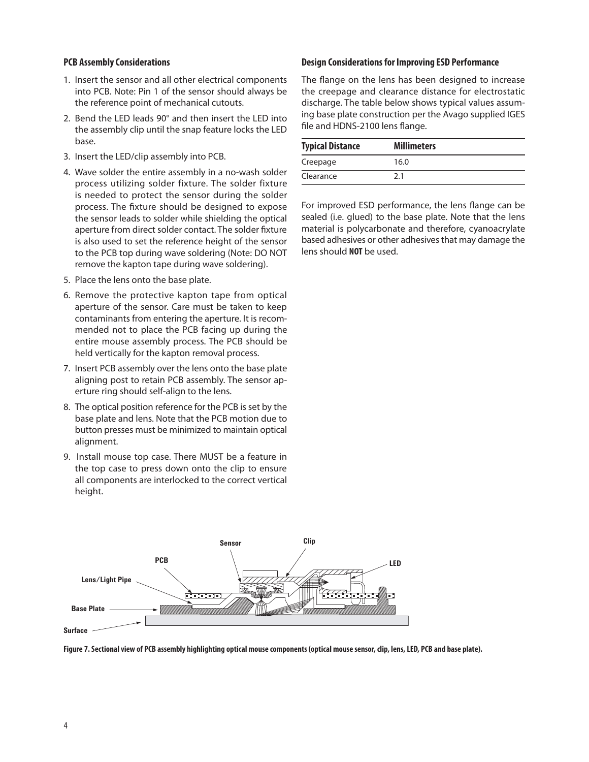## **PCB Assembly Considerations**

- 1. Insert the sensor and all other electrical components into PCB. Note: Pin 1 of the sensor should always be the reference point of mechanical cutouts.
- 2. Bend the LED leads 90° and then insert the LED into the assembly clip until the snap feature locks the LED base.
- 3. Insert the LED/clip assembly into PCB.
- 4. Wave solder the entire assembly in a no-wash solder process utilizing solder fixture. The solder fixture is needed to protect the sensor during the solder process. The fixture should be designed to expose the sensor leads to solder while shielding the optical aperture from direct solder contact. The solder fixture is also used to set the reference height of the sensor to the PCB top during wave soldering (Note: DO NOT remove the kapton tape during wave soldering).
- 5. Place the lens onto the base plate.
- 6. Remove the protective kapton tape from optical aperture of the sensor. Care must be taken to keep contaminants from entering the aperture. It is recommended not to place the PCB facing up during the entire mouse assembly process. The PCB should be held vertically for the kapton removal process.
- 7. Insert PCB assembly over the lens onto the base plate aligning post to retain PCB assembly. The sensor aperture ring should self-align to the lens.
- 8. The optical position reference for the PCB is set by the base plate and lens. Note that the PCB motion due to button presses must be minimized to maintain optical alignment.
- 9. Install mouse top case. There MUST be a feature in the top case to press down onto the clip to ensure all components are interlocked to the correct vertical height.

## **Design Considerations for Improving ESD Performance**

The flange on the lens has been designed to increase the creepage and clearance distance for electrostatic discharge. The table below shows typical values assuming base plate construction per the Avago supplied IGES file and HDNS-2100 lens flange.

| <b>Typical Distance</b> | <b>Millimeters</b> |
|-------------------------|--------------------|
| Creepage                | 16.0               |
| Clearance               | 21                 |

For improved ESD performance, the lens flange can be sealed (i.e. glued) to the base plate. Note that the lens material is polycarbonate and therefore, cyanoacrylate based adhesives or other adhesives that may damage the lens should **NOT** be used.



**Figure 7. Sectional view of PCB assembly highlighting optical mouse components (optical mouse sensor, clip, lens, LED, PCB and base plate).**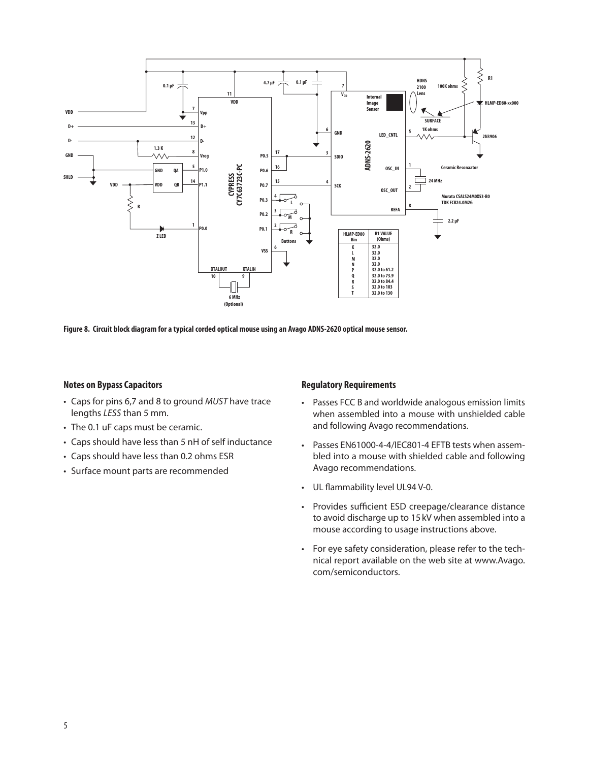

**Figure 8. Circuit block diagram for a typical corded optical mouse using an Avago ADNS-2620 optical mouse sensor.**

## **Notes on Bypass Capacitors**

- Caps for pins 6,7 and 8 to ground *MUST* have trace lengths *LESS* than 5 mm.
- The 0.1 uF caps must be ceramic.
- Caps should have less than 5 nH of self inductance
- Caps should have less than 0.2 ohms ESR
- Surface mount parts are recommended

### **Regulatory Requirements**

- Passes FCC B and worldwide analogous emission limits when assembled into a mouse with unshielded cable and following Avago recommendations.
- Passes EN61000-4-4/IEC801-4 EFTB tests when assembled into a mouse with shielded cable and following Avago recommendations.
- UL flammability level UL94 V-0.
- Provides sufficient ESD creepage/clearance distance to avoid discharge up to 15 kV when assembled into a mouse according to usage instructions above.
- For eye safety consideration, please refer to the technical report available on the web site at www.Avago. com/semiconductors.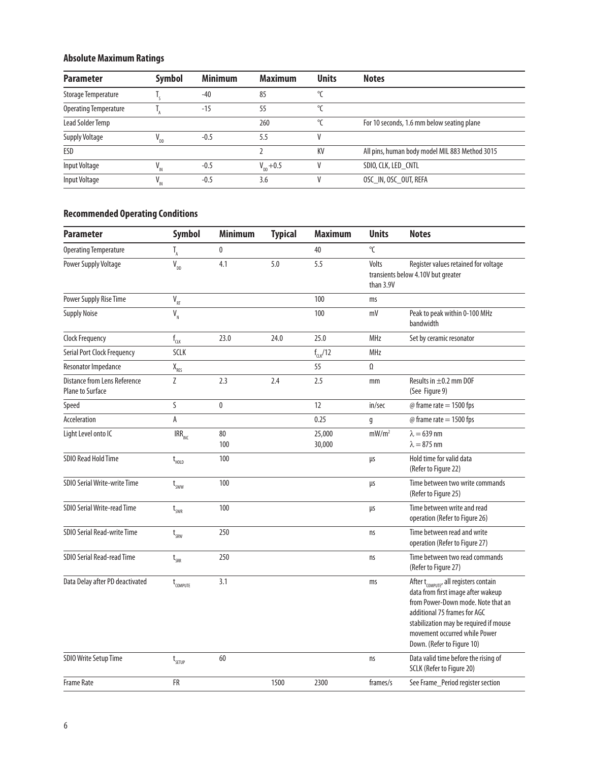## **Absolute Maximum Ratings**

| <b>Parameter</b>             | Symbol | <b>Minimum</b> | <b>Maximum</b>        | <b>Units</b> | <b>Notes</b>                                   |
|------------------------------|--------|----------------|-----------------------|--------------|------------------------------------------------|
| Storage Temperature          |        | $-40$          | 85                    | $\circ$      |                                                |
| <b>Operating Temperature</b> |        | $-15$          | 55                    | $\circ$      |                                                |
| Lead Solder Temp             |        |                | 260                   | $\circ$      | For 10 seconds, 1.6 mm below seating plane     |
| <b>Supply Voltage</b>        | ' DD   | $-0.5$         | 5.5                   |              |                                                |
| ESD                          |        |                |                       | KV           | All pins, human body model MIL 883 Method 3015 |
| Input Voltage                |        | $-0.5$         | $V_{\text{DD}} + 0.5$ |              | SDIO, CLK, LED_CNTL                            |
| Input Voltage                |        | $-0.5$         | 3.6                   |              | OSC_IN, OSC_OUT, REFA                          |

## **Recommended Operating Conditions**

| <b>Parameter</b>                                               | <b>Symbol</b>                      | <b>Minimum</b> | <b>Typical</b> | <b>Maximum</b>      | <b>Units</b>       | <b>Notes</b>                                                                                                                                                                                                                                                            |
|----------------------------------------------------------------|------------------------------------|----------------|----------------|---------------------|--------------------|-------------------------------------------------------------------------------------------------------------------------------------------------------------------------------------------------------------------------------------------------------------------------|
| <b>Operating Temperature</b>                                   | $T_{A}$                            | $\mathbf 0$    |                | 40                  | °C                 |                                                                                                                                                                                                                                                                         |
| Power Supply Voltage                                           | $V_{DD}$                           | 4.1            | 5.0            | 5.5                 | Volts<br>than 3.9V | Register values retained for voltage<br>transients below 4.10V but greater                                                                                                                                                                                              |
| Power Supply Rise Time                                         | $\mathsf{V}_{_{\sf RT}}$           |                |                | 100                 | ms                 |                                                                                                                                                                                                                                                                         |
| <b>Supply Noise</b>                                            | $\bar{\mathsf{V}}_{_{\mathsf{N}}}$ |                |                | 100                 | mV                 | Peak to peak within 0-100 MHz<br>bandwidth                                                                                                                                                                                                                              |
| <b>Clock Frequency</b>                                         | $\mathsf{f}_{\text{CLK}}$          | 23.0           | 24.0           | 25.0                | <b>MHz</b>         | Set by ceramic resonator                                                                                                                                                                                                                                                |
| Serial Port Clock Frequency                                    | <b>SCLK</b>                        |                |                | $f_{\text{c1K}}/12$ | <b>MHz</b>         |                                                                                                                                                                                                                                                                         |
| Resonator Impedance                                            | $X$ <sub>RES</sub>                 |                |                | 55                  | Ω                  |                                                                                                                                                                                                                                                                         |
| <b>Distance from Lens Reference</b><br><b>Plane to Surface</b> | Z                                  | 2.3            | 2.4            | 2.5                 | mm                 | Results in $\pm$ 0.2 mm DOF<br>(See Figure 9)                                                                                                                                                                                                                           |
| Speed                                                          | S                                  | $\mathbf{0}$   |                | 12                  | in/sec             | $@$ frame rate = 1500 fps                                                                                                                                                                                                                                               |
| Acceleration                                                   | Α                                  |                |                | 0.25                | g                  | $@$ frame rate = 1500 fps                                                                                                                                                                                                                                               |
| Light Level onto IC                                            | $IRR_{INC}$                        | 80<br>100      |                | 25,000<br>30,000    | mW/m <sup>2</sup>  | $\lambda = 639$ nm<br>$\lambda = 875$ nm                                                                                                                                                                                                                                |
| <b>SDIO Read Hold Time</b>                                     | $t_{\text{\tiny{HOLD}}}$           | 100            |                |                     | μs                 | Hold time for valid data<br>(Refer to Figure 22)                                                                                                                                                                                                                        |
| SDIO Serial Write-write Time                                   | $t_{sww}$                          | 100            |                |                     | μs                 | Time between two write commands<br>(Refer to Figure 25)                                                                                                                                                                                                                 |
| SDIO Serial Write-read Time                                    | $t_{SWR}$                          | 100            |                |                     | μs                 | Time between write and read<br>operation (Refer to Figure 26)                                                                                                                                                                                                           |
| SDIO Serial Read-write Time                                    | $t_{\text{SRW}}$                   | 250            |                |                     | ns                 | Time between read and write<br>operation (Refer to Figure 27)                                                                                                                                                                                                           |
| <b>SDIO Serial Read-read Time</b>                              | $t_{\rm SRR}$                      | 250            |                |                     | ns                 | Time between two read commands<br>(Refer to Figure 27)                                                                                                                                                                                                                  |
| Data Delay after PD deactivated                                | $t_{\text{COMPUTE}}$               | 3.1            |                |                     | ms                 | After t <sub>COMPUTF</sub> , all registers contain<br>data from first image after wakeup<br>from Power-Down mode. Note that an<br>additional 75 frames for AGC<br>stabilization may be required if mouse<br>movement occurred while Power<br>Down. (Refer to Figure 10) |
| SDIO Write Setup Time                                          | $t_{s_{ETUP}}$                     | 60             |                |                     | ns                 | Data valid time before the rising of<br>SCLK (Refer to Figure 20)                                                                                                                                                                                                       |
| <b>Frame Rate</b>                                              | FR                                 |                | 1500           | 2300                | frames/s           | See Frame_Period register section                                                                                                                                                                                                                                       |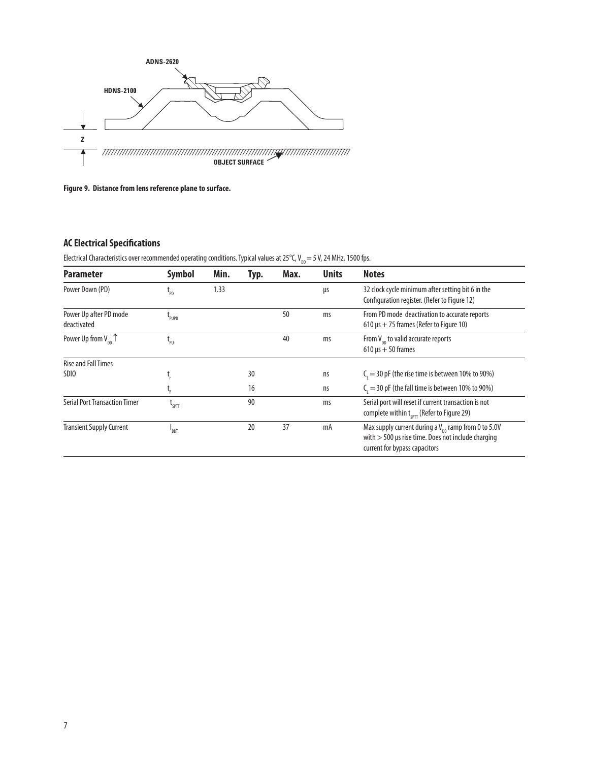

**Figure 9. Distance from lens reference plane to surface.**

## **AC Electrical Specifications**

Electrical Characteristics over recommended operating conditions. Typical values at 25°C, V<sub>DD</sub> = 5 V, 24 MHz, 1500 fps.

| <b>Parameter</b>                                        | <b>Symbol</b>                       | Min. | Typ. | Max. | <b>Units</b> | <b>Notes</b>                                                                                                                                             |
|---------------------------------------------------------|-------------------------------------|------|------|------|--------------|----------------------------------------------------------------------------------------------------------------------------------------------------------|
| Power Down (PD)                                         | L <sub>PD</sub>                     | 1.33 |      |      | μs           | 32 clock cycle minimum after setting bit 6 in the<br>Configuration register. (Refer to Figure 12)                                                        |
| Power Up after PD mode<br>deactivated                   | L <sub>PUPD</sub>                   |      |      | 50   | ms           | From PD mode deactivation to accurate reports<br>610 $\mu$ s + 75 frames (Refer to Figure 10)                                                            |
| Power Up from $V_{nn}$ <sup><math>\uparrow</math></sup> | $\mathsf{L}_{\mathsf{P}\mathsf{U}}$ |      |      | 40   | ms           | From $V_{\text{nn}}$ to valid accurate reports<br>$610 \mu s + 50$ frames                                                                                |
| <b>Rise and Fall Times</b>                              |                                     |      |      |      |              |                                                                                                                                                          |
| SD <sub>IO</sub>                                        |                                     |      | 30   |      | ns           | $Ci = 30$ pF (the rise time is between 10% to 90%)                                                                                                       |
|                                                         |                                     |      | 16   |      | ns           | $Ci = 30$ pF (the fall time is between 10% to 90%)                                                                                                       |
| <b>Serial Port Transaction Timer</b>                    | L <sub>SPTT</sub>                   |      | 90   |      | ms           | Serial port will reset if current transaction is not<br>complete within $t_{corr}$ (Refer to Figure 29)                                                  |
| <b>Transient Supply Current</b>                         | "DDT                                |      | 20   | 37   | mA           | Max supply current during a $V_{\text{nn}}$ ramp from 0 to 5.0V<br>with $>$ 500 µs rise time. Does not include charging<br>current for bypass capacitors |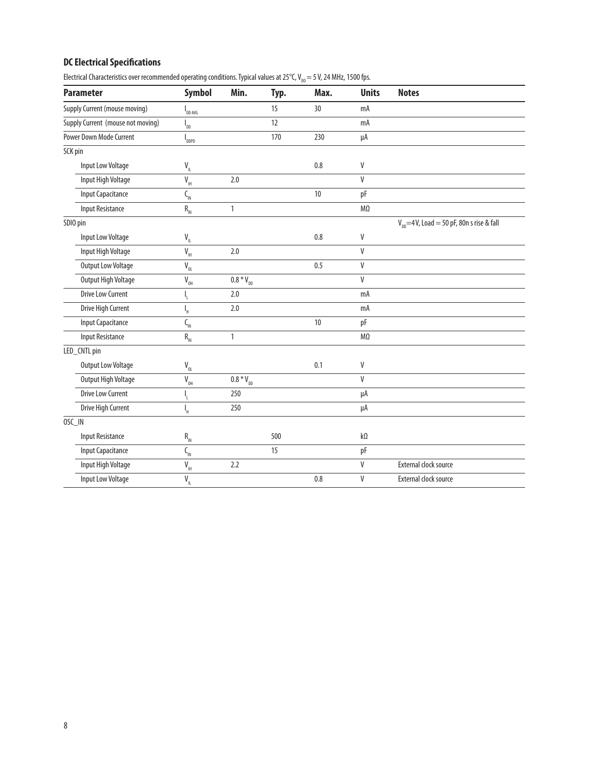## **DC Electrical Specifications**

Electrical Characteristics over recommended operating conditions. Typical values at 25°C,  $V_{_{DD}} = 5$  V, 24 MHz, 1500 fps.

| <b>Parameter</b>                     | Symbol                                             | Min.                        | Typ. | Max. | <b>Units</b>              | <b>Notes</b>                                          |
|--------------------------------------|----------------------------------------------------|-----------------------------|------|------|---------------------------|-------------------------------------------------------|
| <b>Supply Current (mouse moving)</b> | $\mathsf{I}_{\mathtt{DD\,AVG}}$                    |                             | 15   | 30   | mA                        |                                                       |
| Supply Current (mouse not moving)    | $I_{DD}$                                           |                             | 12   |      | mA                        |                                                       |
| <b>Power Down Mode Current</b>       | $\mathsf{I}_{\mathsf{DDPD}}$                       |                             | 170  | 230  | μA                        |                                                       |
| SCK pin                              |                                                    |                             |      |      |                           |                                                       |
| Input Low Voltage                    | $V_{\parallel}$                                    |                             |      | 0.8  | $\mathsf{V}$              |                                                       |
| Input High Voltage                   | $\overline{V}_{\rm{H}}$                            | 2.0                         |      |      | $\mathsf{V}$              |                                                       |
| <b>Input Capacitance</b>             | $C_{\rm IN}$                                       |                             |      | $10$ | pF                        |                                                       |
| <b>Input Resistance</b>              | $R_{IN}$                                           | $\mathbf{1}$                |      |      | $M\Omega$                 |                                                       |
| SDIO pin                             |                                                    |                             |      |      |                           | $V_{\text{nn}}$ = 4V, Load = 50 pF, 80n s rise & fall |
| Input Low Voltage                    | $\mathsf{V}_{_{\mathsf{IL}}}$                      |                             |      | 0.8  | V                         |                                                       |
| Input High Voltage                   | $\bar{\mathtt{V}}_{\scriptscriptstyle\mathsf{IH}}$ | 2.0                         |      |      | V                         |                                                       |
| <b>Output Low Voltage</b>            | $V_{\underline{0}L}$                               |                             |      | 0.5  | $\mathsf{V}$              |                                                       |
| Output High Voltage                  | $\bar{V}_{\text{OH}}$                              | $\overline{0.8}$ * $V_{DD}$ |      |      | $\ensuremath{\mathsf{V}}$ |                                                       |
| <b>Drive Low Current</b>             | I,                                                 | 2.0                         |      |      | mA                        |                                                       |
| Drive High Current                   | I,                                                 | 2.0                         |      |      | mA                        |                                                       |
| <b>Input Capacitance</b>             | $C_{\rm IN}$                                       |                             |      | 10   | рF                        |                                                       |
| <b>Input Resistance</b>              | $\mathsf{R}_{\textsc{in}}$                         | $\mathbf{1}$                |      |      | $M\Omega$                 |                                                       |
| LED_CNTL pin                         |                                                    |                             |      |      |                           |                                                       |
| <b>Output Low Voltage</b>            | $\mathsf{V}_{\underbar{\mathsf{0}\mathsf{L}}}$     |                             |      | 0.1  | V                         |                                                       |
| Output High Voltage                  | $\bar{\text{V}}_{_{\text{OH}}}$                    | $0.8 * V_{D}$               |      |      | $\mathsf{V}$              |                                                       |
| <b>Drive Low Current</b>             | I,                                                 | 250                         |      |      | μA                        |                                                       |
| Drive High Current                   | I,                                                 | 250                         |      |      | μA                        |                                                       |
| OSC_IN                               |                                                    |                             |      |      |                           |                                                       |
| <b>Input Resistance</b>              | $\mathsf{R}_{_{\mathsf{IN}}}$                      |                             | 500  |      | kΩ                        |                                                       |
| <b>Input Capacitance</b>             | $C_{\rm IN}$                                       |                             | 15   |      | рF                        |                                                       |
| Input High Voltage                   | $\overline{V_{\rm{H}}}$                            | 2.2                         |      |      | $\mathsf{V}$              | External clock source                                 |
| Input Low Voltage                    | $V_{\parallel}$                                    |                             |      | 0.8  | $\sf V$                   | External clock source                                 |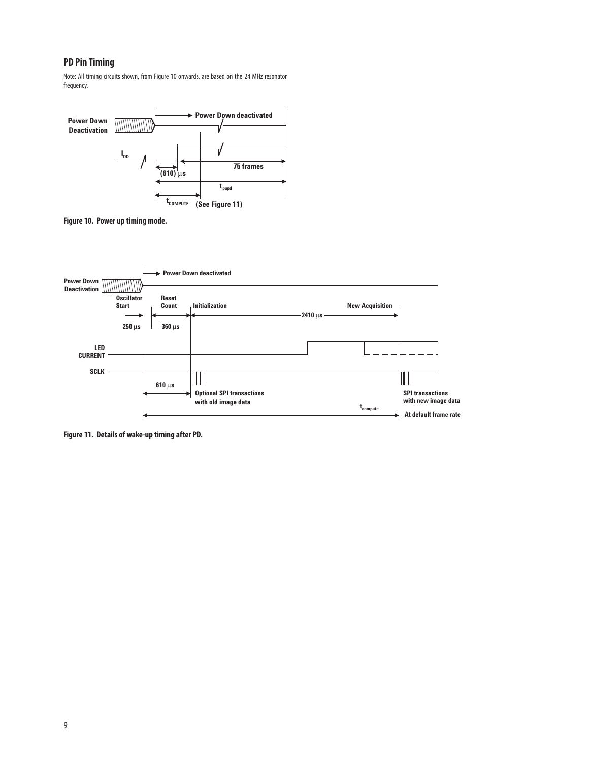## **PD Pin Timing**

Note: All timing circuits shown, from Figure 10 onwards, are based on the 24 MHz resonator frequency.



**Figure 10. Power up timing mode.** 



**Figure 11. Details of wake-up timing after PD.**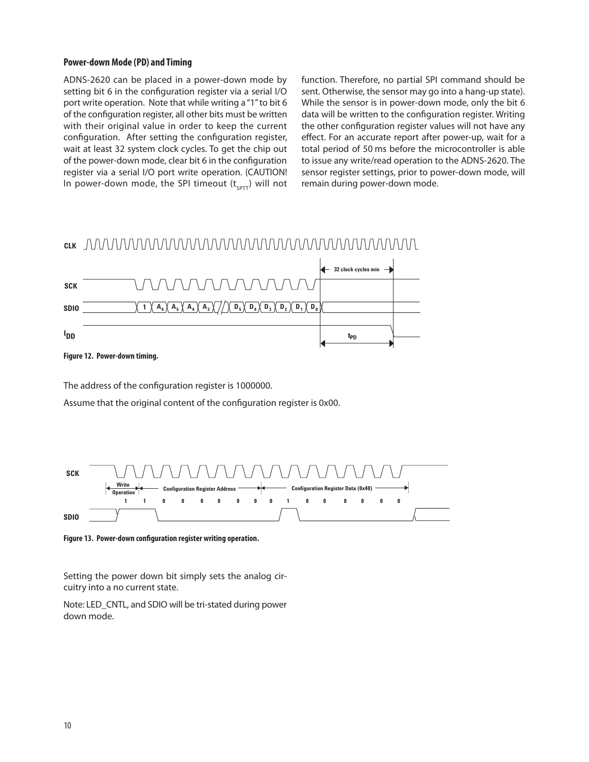## **Power-down Mode (PD) and Timing**

ADNS-2620 can be placed in a power-down mode by setting bit 6 in the configuration register via a serial I/O port write operation. Note that while writing a "1" to bit 6 of the configuration register, all other bits must be written with their original value in order to keep the current configuration. After setting the configuration register, wait at least 32 system clock cycles. To get the chip out of the power-down mode, clear bit 6 in the configuration register via a serial I/O port write operation. (CAUTION! In power-down mode, the SPI timeout  $(t<sub>corr</sub>)$  will not function. Therefore, no partial SPI command should be sent. Otherwise, the sensor may go into a hang-up state). While the sensor is in power-down mode, only the bit 6 data will be written to the configuration register. Writing the other configuration register values will not have any effect. For an accurate report after power-up, wait for a total period of 50 ms before the microcontroller is able to issue any write/read operation to the ADNS-2620. The sensor register settings, prior to power-down mode, will remain during power-down mode.

## **CLK**



**Figure 12. Power-down timing.** 

The address of the configuration register is 1000000.

Assume that the original content of the configuration register is 0x00.



**Figure 13. Power-down configuration register writing operation.**

Setting the power down bit simply sets the analog circuitry into a no current state.

Note: LED\_CNTL, and SDIO will be tri-stated during power down mode.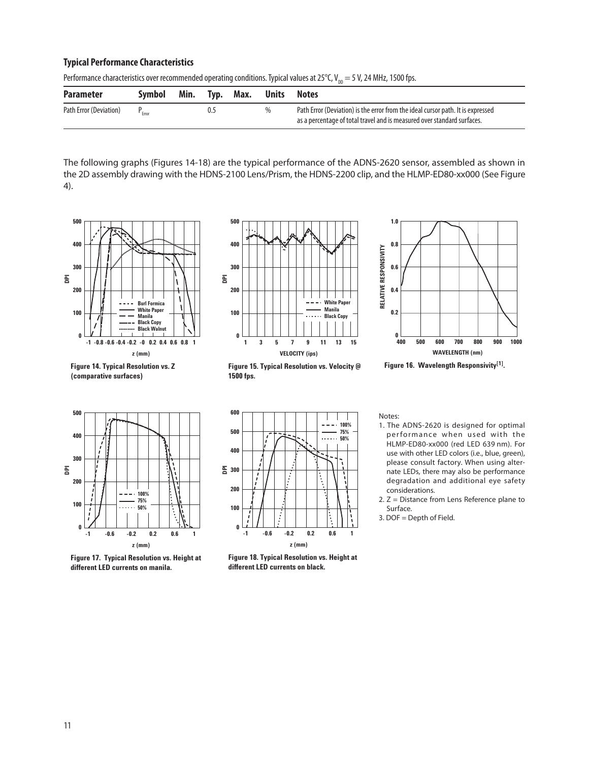## **Typical Performance Characteristics**

| Performance characteristics over recommended operating conditions. Typical values at 25°C, V <sub>DD</sub> = 5 V, 24 MHz, 1500 fps. |  |
|-------------------------------------------------------------------------------------------------------------------------------------|--|
|-------------------------------------------------------------------------------------------------------------------------------------|--|

| <b>Parameter</b>       | Symbol | Min. | Tvp. | Max. | Units | Notes                                                                                                                                                      |
|------------------------|--------|------|------|------|-------|------------------------------------------------------------------------------------------------------------------------------------------------------------|
| Path Error (Deviation) |        |      | 0.5  |      |       | Path Error (Deviation) is the error from the ideal cursor path. It is expressed<br>as a percentage of total travel and is measured over standard surfaces. |

The following graphs (Figures 14-18) are the typical performance of the ADNS-2620 sensor, assembled as shown in the 2D assembly drawing with the HDNS-2100 Lens/Prism, the HDNS-2200 clip, and the HLMP-ED80-xx000 (See Figure 4).



**Figure 14. Typical Resolution vs. Z (comparative surfaces)**



**Figure 15. Typical Resolution vs. Velocity @ 1500 fps.**



**Figure 16. Wavelength Responsivity[1].**



**Figure 17. Typical Resolution vs. Height at different LED currents on manila.**



**Figure 18. Typical Resolution vs. Height at different LED currents on black.**

Notes:

- 1. The ADNS-2620 is designed for optimal performance when used with the HLMP-ED80-xx000 (red LED 639 nm). For use with other LED colors (i.e., blue, green), please consult factory. When using alternate LEDs, there may also be performance degradation and additional eye safety considerations.
- 2. Z = Distance from Lens Reference plane to Surface.
- 3. DOF = Depth of Field.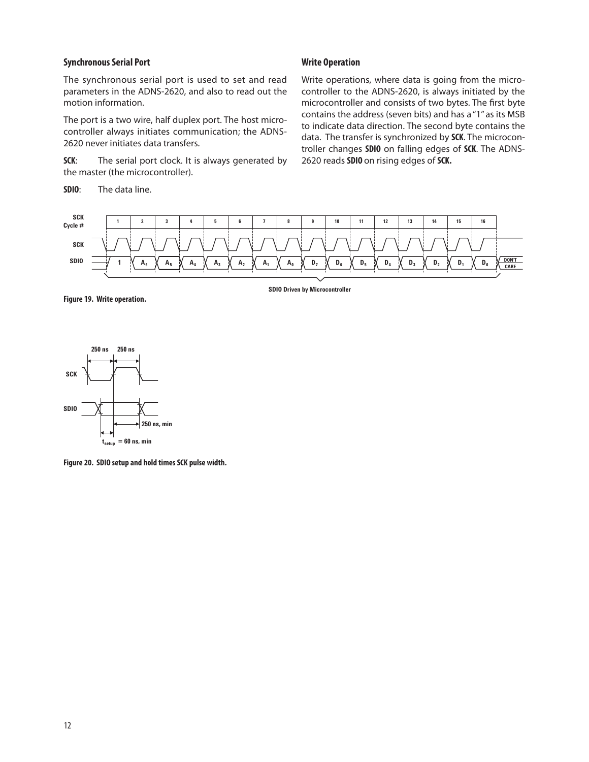## **Synchronous Serial Port**

The synchronous serial port is used to set and read parameters in the ADNS-2620, and also to read out the motion information.

The port is a two wire, half duplex port. The host microcontroller always initiates communication; the ADNS-2620 never initiates data transfers.

**SCK:** The serial port clock. It is always generated by the master (the microcontroller).

**SDIO**: The data line.

## **Write Operation**

Write operations, where data is going from the microcontroller to the ADNS-2620, is always initiated by the microcontroller and consists of two bytes. The first byte contains the address (seven bits) and has a "1" as its MSB to indicate data direction. The second byte contains the data. The transfer is synchronized by **SCK**. The microcontroller changes **SDIO** on falling edges of **SCK**. The ADNS-2620 reads **SDIO** on rising edges of **SCK.**



**Figure 19. Write operation.**

**SDIO Driven by Microcontroller**



**Figure 20. SDIO setup and hold times SCK pulse width.**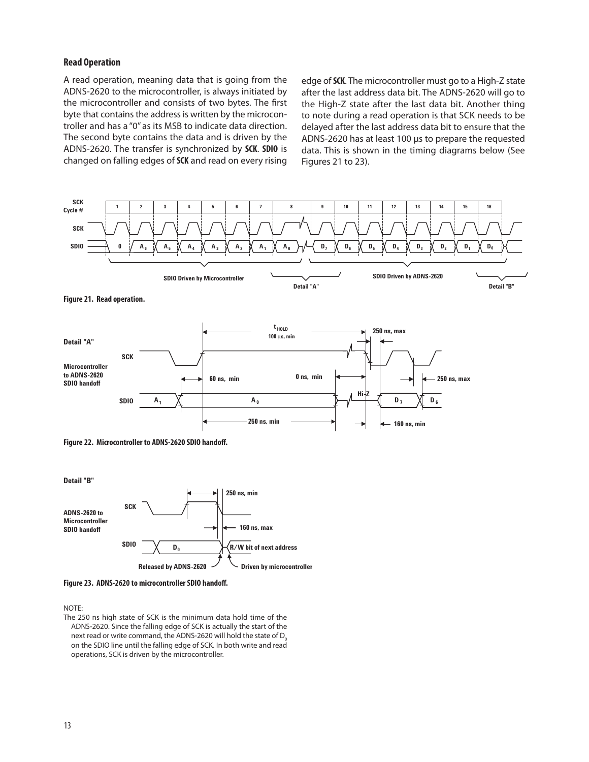#### **Read Operation**

A read operation, meaning data that is going from the ADNS-2620 to the microcontroller, is always initiated by the microcontroller and consists of two bytes. The first byte that contains the address is written by the microcontroller and has a "0" as its MSB to indicate data direction. The second byte contains the data and is driven by the ADNS-2620. The transfer is synchronized by **SCK**. **SDIO** is changed on falling edges of **SCK** and read on every rising

edge of **SCK**. The microcontroller must go to a High-Z state after the last address data bit. The ADNS-2620 will go to the High-Z state after the last data bit. Another thing to note during a read operation is that SCK needs to be delayed after the last address data bit to ensure that the ADNS-2620 has at least 100 µs to prepare the requested data. This is shown in the timing diagrams below (See Figures 21 to 23).







**Figure 23. ADNS-2620 to microcontroller SDIO handoff.**

NOTE:

The 250 ns high state of SCK is the minimum data hold time of the ADNS-2620. Since the falling edge of SCK is actually the start of the next read or write command, the ADNS-2620 will hold the state of  $D_0$ on the SDIO line until the falling edge of SCK. In both write and read operations, SCK is driven by the microcontroller.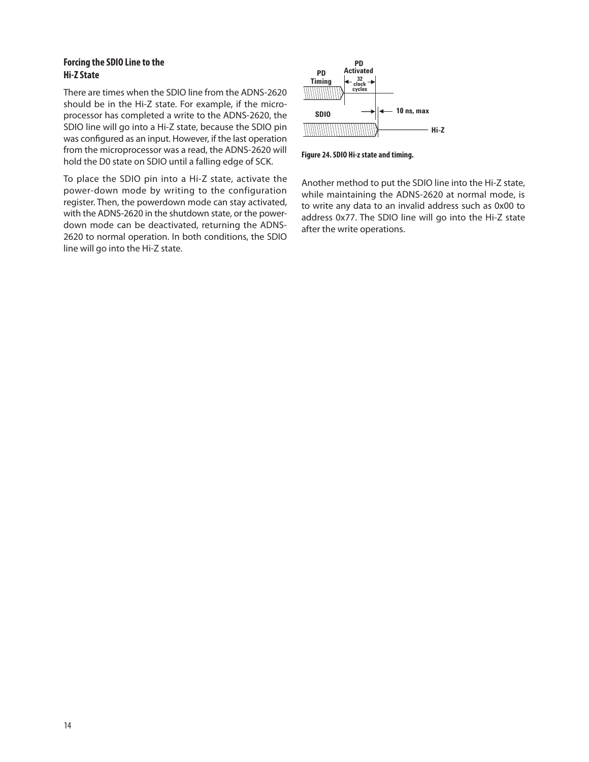## **Forcing the SDIO Line to the Hi-Z State**

There are times when the SDIO line from the ADNS-2620 should be in the Hi-Z state. For example, if the microprocessor has completed a write to the ADNS-2620, the SDIO line will go into a Hi-Z state, because the SDIO pin was configured as an input. However, if the last operation from the microprocessor was a read, the ADNS-2620 will hold the D0 state on SDIO until a falling edge of SCK.

To place the SDIO pin into a Hi-Z state, activate the power-down mode by writing to the configuration register. Then, the powerdown mode can stay activated, with the ADNS-2620 in the shutdown state, or the powerdown mode can be deactivated, returning the ADNS-2620 to normal operation. In both conditions, the SDIO line will go into the Hi-Z state.



**Figure 24. SDIO Hi-z state and timing.**

Another method to put the SDIO line into the Hi-Z state, while maintaining the ADNS-2620 at normal mode, is to write any data to an invalid address such as 0x00 to address 0x77. The SDIO line will go into the Hi-Z state after the write operations.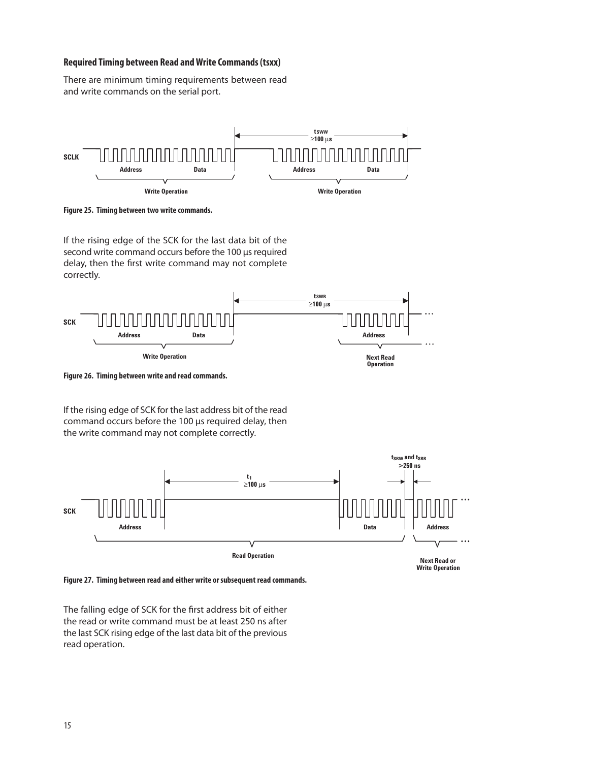## **Required Timing between Read and Write Commands (tsxx)**

There are minimum timing requirements between read and write commands on the serial port.



**Figure 25. Timing between two write commands.**

If the rising edge of the SCK for the last data bit of the second write command occurs before the 100 µs required delay, then the first write command may not complete correctly.



**Figure 26. Timing between write and read commands.**

If the rising edge of SCK for the last address bit of the read command occurs before the 100 µs required delay, then the write command may not complete correctly.



**Write Operation**

**Figure 27. Timing between read and either write or subsequent read commands.**

The falling edge of SCK for the first address bit of either the read or write command must be at least 250 ns after the last SCK rising edge of the last data bit of the previous read operation.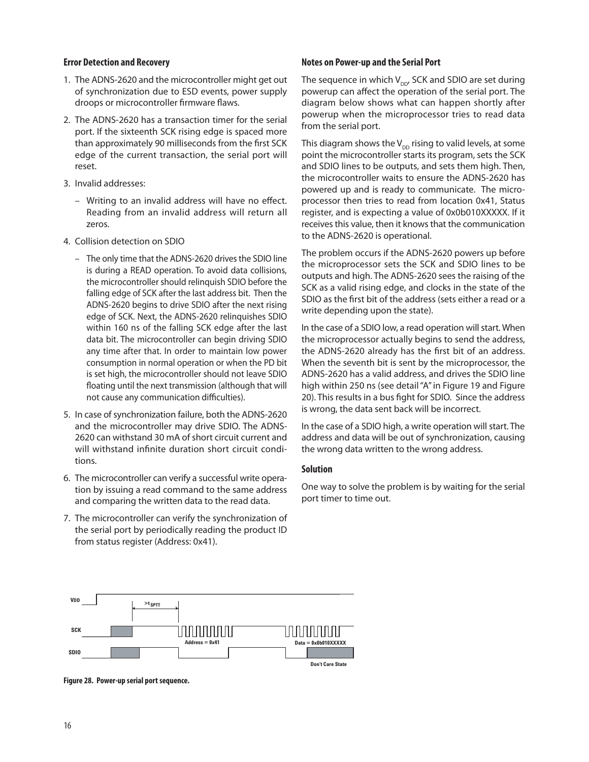## **Error Detection and Recovery**

- 1. The ADNS-2620 and the microcontroller might get out of synchronization due to ESD events, power supply droops or microcontroller firmware flaws.
- 2. The ADNS-2620 has a transaction timer for the serial port. If the sixteenth SCK rising edge is spaced more than approximately 90 milliseconds from the first SCK edge of the current transaction, the serial port will reset.
- 3. Invalid addresses:
	- Writing to an invalid address will have no effect. Reading from an invalid address will return all zeros.
- 4. Collision detection on SDIO
	- The only time that the ADNS-2620 drives the SDIO line is during a READ operation. To avoid data collisions, the microcontroller should relinquish SDIO before the falling edge of SCK after the last address bit. Then the ADNS-2620 begins to drive SDIO after the next rising edge of SCK. Next, the ADNS-2620 relinquishes SDIO within 160 ns of the falling SCK edge after the last data bit. The microcontroller can begin driving SDIO any time after that. In order to maintain low power consumption in normal operation or when the PD bit is set high, the microcontroller should not leave SDIO floating until the next transmission (although that will not cause any communication difficulties).
- 5. In case of synchronization failure, both the ADNS-2620 and the microcontroller may drive SDIO. The ADNS-2620 can withstand 30 mA of short circuit current and will withstand infinite duration short circuit conditions.
- 6. The microcontroller can verify a successful write operation by issuing a read command to the same address and comparing the written data to the read data.
- 7. The microcontroller can verify the synchronization of the serial port by periodically reading the product ID from status register (Address: 0x41).

#### **Notes on Power-up and the Serial Port**

The sequence in which  $V_{\text{nn}}$  SCK and SDIO are set during powerup can affect the operation of the serial port. The diagram below shows what can happen shortly after powerup when the microprocessor tries to read data from the serial port.

This diagram shows the  $V_{\text{DD}}$  rising to valid levels, at some point the microcontroller starts its program, sets the SCK and SDIO lines to be outputs, and sets them high. Then, the microcontroller waits to ensure the ADNS-2620 has powered up and is ready to communicate. The microprocessor then tries to read from location 0x41, Status register, and is expecting a value of 0x0b010XXXXX. If it receives this value, then it knows that the communication to the ADNS-2620 is operational.

The problem occurs if the ADNS-2620 powers up before the microprocessor sets the SCK and SDIO lines to be outputs and high. The ADNS-2620 sees the raising of the SCK as a valid rising edge, and clocks in the state of the SDIO as the first bit of the address (sets either a read or a write depending upon the state).

In the case of a SDIO low, a read operation will start. When the microprocessor actually begins to send the address, the ADNS-2620 already has the first bit of an address. When the seventh bit is sent by the microprocessor, the ADNS-2620 has a valid address, and drives the SDIO line high within 250 ns (see detail "A" in Figure 19 and Figure 20). This results in a bus fight for SDIO. Since the address is wrong, the data sent back will be incorrect.

In the case of a SDIO high, a write operation will start. The address and data will be out of synchronization, causing the wrong data written to the wrong address.

## **Solution**

One way to solve the problem is by waiting for the serial port timer to time out.



**Figure 28. Power-up serial port sequence.**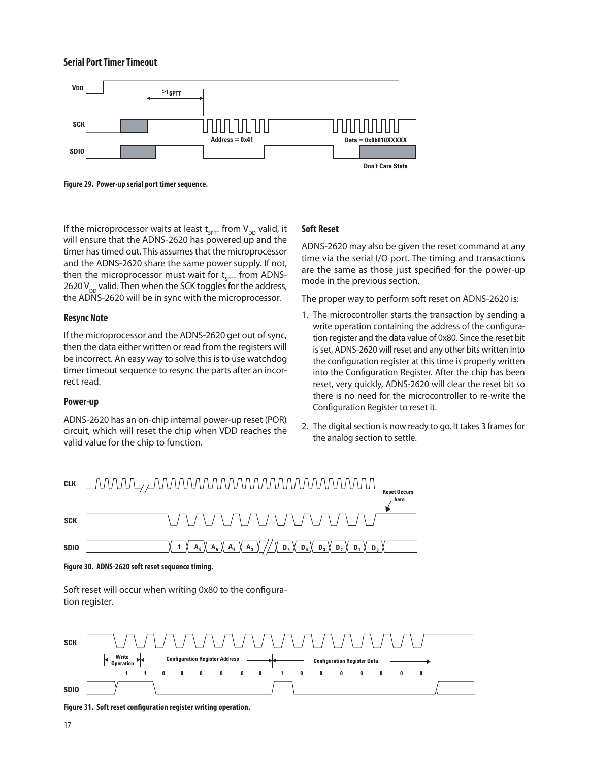#### **Serial Port Timer Timeout**



**Figure 29. Power-up serial port timer sequence.**

If the microprocessor waits at least  $t_{\text{SPTT}}$  from  $V_{\text{DD}}$  valid, it will ensure that the ADNS-2620 has powered up and the timer has timed out. This assumes that the microprocessor and the ADNS-2620 share the same power supply. If not, then the microprocessor must wait for  $t_{\text{c}_{\text{PTT}}}$  from ADNS-2620 V<sub>DD</sub> valid. Then when the SCK toggles for the address, the ADNS-2620 will be in sync with the microprocessor.

## **Resync Note**

If the microprocessor and the ADNS-2620 get out of sync, then the data either written or read from the registers will be incorrect. An easy way to solve this is to use watchdog timer timeout sequence to resync the parts after an incorrect read.

## **Power-up**

ADNS-2620 has an on-chip internal power-up reset (POR) circuit, which will reset the chip when VDD reaches the valid value for the chip to function.

## **Soft Reset**

ADNS-2620 may also be given the reset command at any time via the serial I/O port. The timing and transactions are the same as those just specified for the power-up mode in the previous section.

The proper way to perform soft reset on ADNS-2620 is:

- 1. The microcontroller starts the transaction by sending a write operation containing the address of the configuration register and the data value of 0x80. Since the reset bit is set, ADNS-2620 will reset and any other bits written into the configuration register at this time is properly written into the Configuration Register. After the chip has been reset, very quickly, ADNS-2620 will clear the reset bit so there is no need for the microcontroller to re-write the Configuration Register to reset it.
- 2. The digital section is now ready to go. It takes 3 frames for the analog section to settle.



**Figure 30. ADNS-2620 soft reset sequence timing.**

Soft reset will occur when writing 0x80 to the configuration register.



**Figure 31. Soft reset configuration register writing operation.**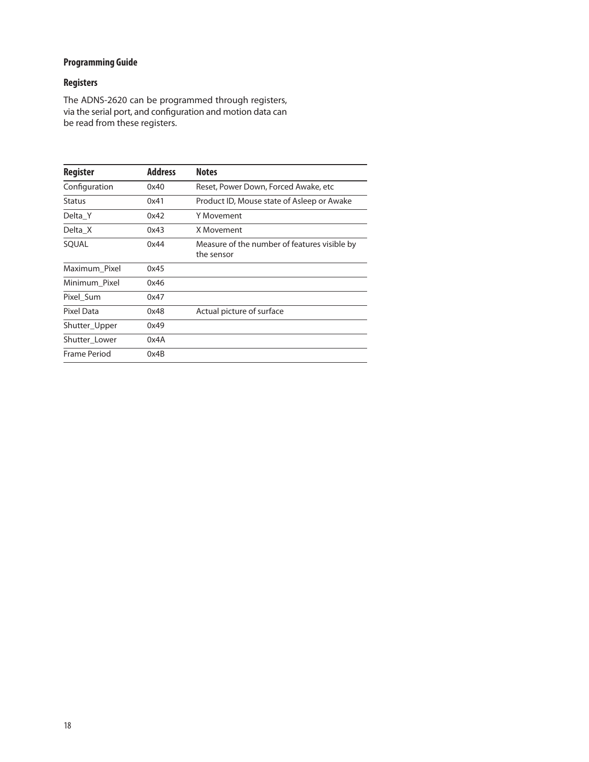## **Programming Guide**

## **Registers**

The ADNS-2620 can be programmed through registers, via the serial port, and configuration and motion data can be read from these registers.

| <b>Register</b> | <b>Address</b> | <b>Notes</b>                                               |
|-----------------|----------------|------------------------------------------------------------|
| Configuration   | 0x40           | Reset, Power Down, Forced Awake, etc                       |
| <b>Status</b>   | 0x41           | Product ID, Mouse state of Asleep or Awake                 |
| Delta Y         | 0x42           | Y Movement                                                 |
| Delta X         | 0x43           | X Movement                                                 |
| SOUAL           | 0x44           | Measure of the number of features visible by<br>the sensor |
| Maximum Pixel   | 0x45           |                                                            |
| Minimum Pixel   | 0x46           |                                                            |
| Pixel Sum       | 0x47           |                                                            |
| Pixel Data      | 0x48           | Actual picture of surface                                  |
| Shutter_Upper   | 0x49           |                                                            |
| Shutter Lower   | 0x4A           |                                                            |
| Frame Period    | 0x4B           |                                                            |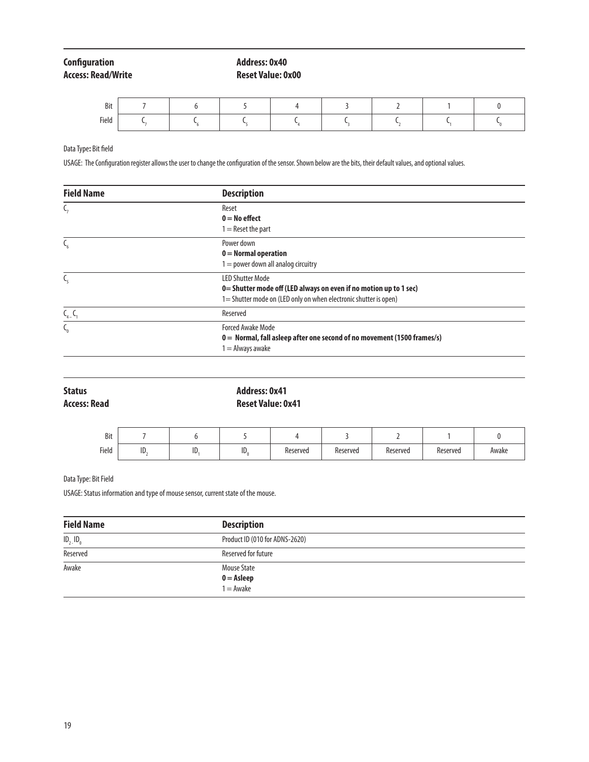# **Access: Read/Write**

**Configuration Address: 0x40**<br> **Address: Read/Write** Access: Read/Write Access: 0x40

| Bit   |  |  |  |  |
|-------|--|--|--|--|
| Field |  |  |  |  |

Data Type**:** Bit field

USAGE: The Configuration register allows the user to change the configuration of the sensor. Shown below are the bits, their default values, and optional values.

| <b>Field Name</b> | <b>Description</b>                                                                                                                                               |
|-------------------|------------------------------------------------------------------------------------------------------------------------------------------------------------------|
|                   | Reset<br>$0 = No$ effect<br>$I =$ Reset the part                                                                                                                 |
|                   | Power down<br>$0 =$ Normal operation<br>$I = power$ down all analog circuitry                                                                                    |
| ╰                 | <b>LED Shutter Mode</b><br>0= Shutter mode off (LED always on even if no motion up to 1 sec)<br>1= Shutter mode on (LED only on when electronic shutter is open) |
| $C_{4-}C_{1}$     | Reserved                                                                                                                                                         |
|                   | <b>Forced Awake Mode</b><br>0 = Normal, fall asleep after one second of no movement (1500 frames/s)<br>$=$ Always awake                                          |

| <b>Status</b><br><b>Access: Read</b> |     |     | <b>Address: 0x41</b><br><b>Reset Value: 0x41</b> |          |          |          |          |       |
|--------------------------------------|-----|-----|--------------------------------------------------|----------|----------|----------|----------|-------|
| Bit                                  |     | b   |                                                  | 4        |          |          |          | 0     |
| Field                                | ID. | ID. | $ID_0$                                           | Reserved | Reserved | Reserved | Reserved | Awake |

## Data Type: Bit Field

USAGE: Status information and type of mouse sensor, current state of the mouse.

| <b>Field Name</b> | <b>Description</b>                        |  |
|-------------------|-------------------------------------------|--|
| $ID_2$ , $ID_0$   | Product ID (010 for ADNS-2620)            |  |
| Reserved          | Reserved for future                       |  |
| Awake             | <b>Mouse State</b>                        |  |
|                   | $0 =$ <b>Asleep</b><br>$1 =$ <i>Awake</i> |  |
|                   |                                           |  |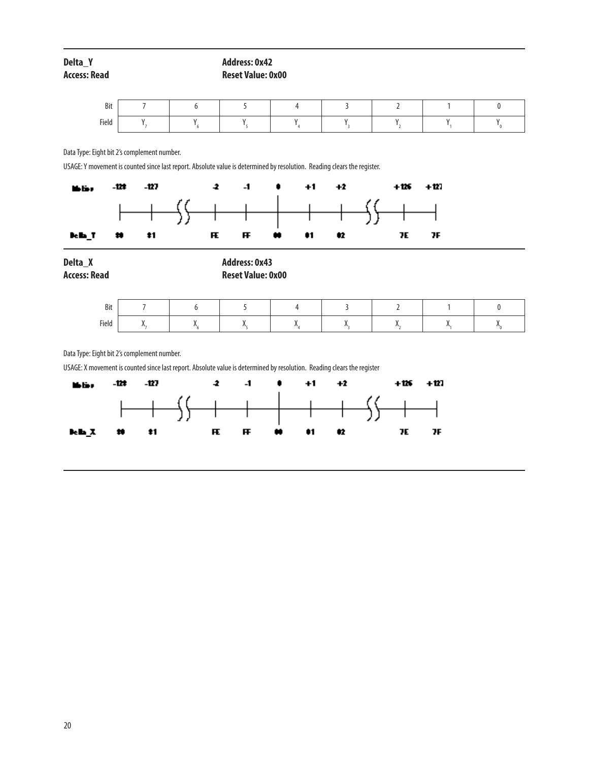| Delta Y      | <b>Address: 0x42</b>     |
|--------------|--------------------------|
| Access: Read | <b>Reset Value: 0x00</b> |

| Bit   |  |  |  |  |
|-------|--|--|--|--|
| Field |  |  |  |  |

Data Type: Eight bit 2's complement number.

USAGE: Y movement is counted since last report. Absolute value is determined by resolution. Reading clears the register.



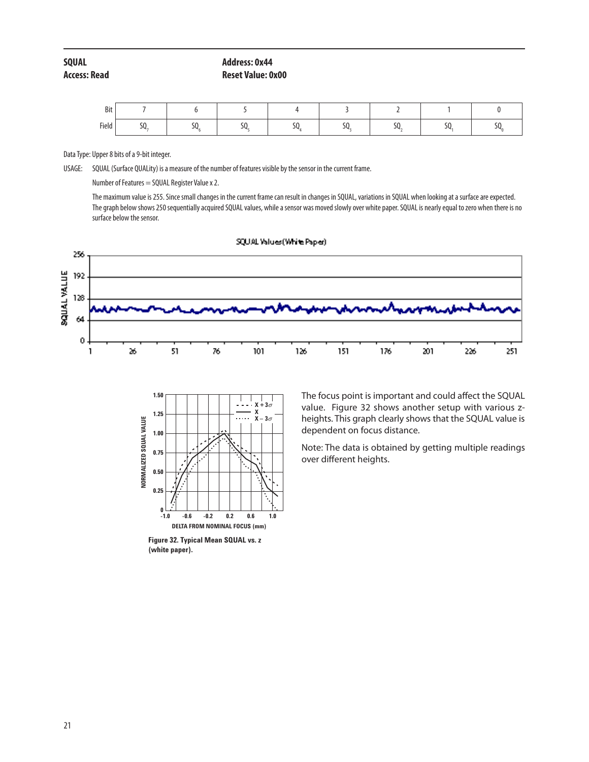| SQUAL        | <b>Address: 0x44</b>     |
|--------------|--------------------------|
| Access: Read | <b>Reset Value: 0x00</b> |

| Bit   |                      |   |  |                    |   |
|-------|----------------------|---|--|--------------------|---|
| Field | $\sim$ $\sim$<br>JV. | ◡ |  | $\sim$ $\sim$<br>⊸ | ᠈ |

Data Type: Upper 8 bits of a 9-bit integer.

USAGE: SQUAL (Surface QUALity) is a measure of the number of features visible by the sensor in the current frame.

Number of Features = SQUAL Register Value x 2.

The maximum value is 255. Since small changes in the current frame can result in changes in SQUAL, variations in SQUAL when looking at a surface are expected. The graph below shows 250 sequentially acquired SQUAL values, while a sensor was moved slowly over white paper. SQUAL is nearly equal to zero when there is no surface below the sensor.





**Figure 32. Typical Mean SQUAL vs. z (white paper).**

The focus point is important and could affect the SQUAL value. Figure 32 shows another setup with various zheights. This graph clearly shows that the SQUAL value is dependent on focus distance.

Note: The data is obtained by getting multiple readings over different heights.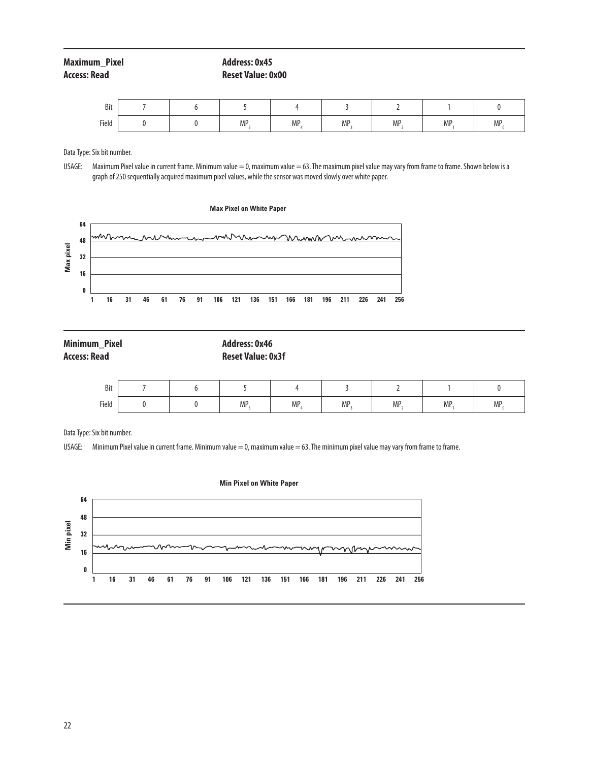| Maximum Pixel | Address: 0x45            |
|---------------|--------------------------|
| Access: Read  | <b>Reset Value: 0x00</b> |

| Bit   |  |     |           |     |     |           |    |
|-------|--|-----|-----------|-----|-----|-----------|----|
| Field |  | MP. | <b>MP</b> | MP. | MP, | <b>MP</b> | MP |

Data Type: Six bit number.

USAGE: Maximum Pixel value in current frame. Minimum value = 0, maximum value = 63. The maximum pixel value may vary from frame to frame. Shown below is a graph of 250 sequentially acquired maximum pixel values, while the sensor was moved slowly over white paper.



| <b>Minimum Pixel</b> | Address: 0x46            |
|----------------------|--------------------------|
| <b>Access: Read</b>  | <b>Reset Value: 0x3f</b> |

| Bit   |  |     |           |     |     |           |     |
|-------|--|-----|-----------|-----|-----|-----------|-----|
| Field |  | MP. | <b>MP</b> | MP. | MP. | <b>MP</b> | MP. |

Data Type: Six bit number.

USAGE: Minimum Pixel value in current frame. Minimum value = 0, maximum value = 63. The minimum pixel value may vary from frame to frame.



## **Min Pixel on White Paper**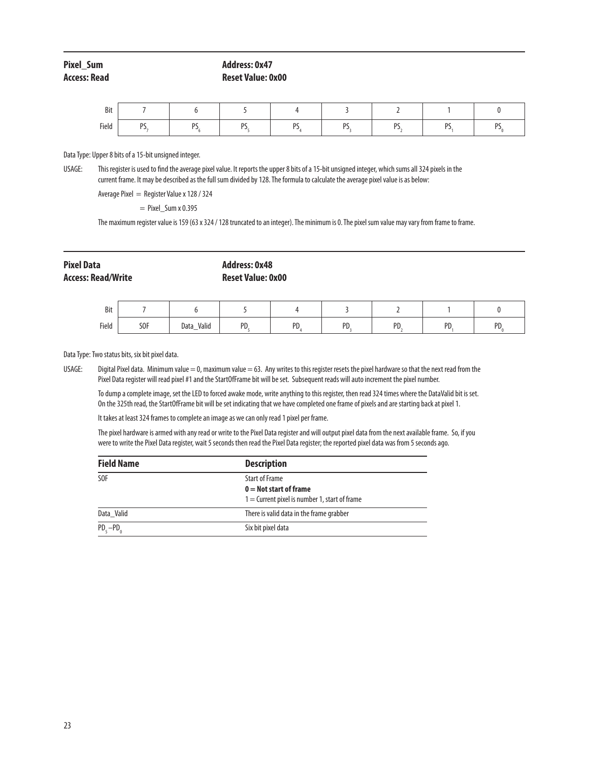## **Pixel\_Sum Address: 0x47 Access: Read Reset Value: 0x00**

| Bit   |           |              |   |               |    |    |              |
|-------|-----------|--------------|---|---------------|----|----|--------------|
| Field | DC<br>. . | <sub>D</sub> | n | <sub>DC</sub> | n, | nc | <sub>D</sub> |

Data Type: Upper 8 bits of a 15-bit unsigned integer.

USAGE: This register is used to find the average pixel value. It reports the upper 8 bits of a 15-bit unsigned integer, which sums all 324 pixels in the current frame. It may be described as the full sum divided by 128. The formula to calculate the average pixel value is as below:

Average Pixel = Register Value x 128 / 324

 $=$  Pixel Sum x 0.395

The maximum register value is 159 (63 x 324 / 128 truncated to an integer). The minimum is 0. The pixel sum value may vary from frame to frame.

# **Pixel Data Address: 0x48**

# **Access: Read/Write Reset Value: 0x00**

| Bit   |                 |                |           |          |          |           |    |    |
|-------|-----------------|----------------|-----------|----------|----------|-----------|----|----|
| Field | S <sub>OF</sub> | _Valid<br>Data | DD<br>. . | DD<br>ïυ | DD<br>'U | DD<br>ΓD. | DL | nn |

Data Type: Two status bits, six bit pixel data.

USAGE: Digital Pixel data. Minimum value = 0, maximum value = 63. Any writes to this register resets the pixel hardware so that the next read from the Pixel Data register will read pixel #1 and the StartOfFrame bit will be set. Subsequent reads will auto increment the pixel number.

 To dump a complete image, set the LED to forced awake mode, write anything to this register, then read 324 times where the DataValid bit is set. On the 325th read, the StartOfFrame bit will be set indicating that we have completed one frame of pixels and are starting back at pixel 1.

It takes at least 324 frames to complete an image as we can only read 1 pixel per frame.

 The pixel hardware is armed with any read or write to the Pixel Data register and will output pixel data from the next available frame. So, if you were to write the Pixel Data register, wait 5 seconds then read the Pixel Data register; the reported pixel data was from 5 seconds ago.

| <b>Field Name</b> | <b>Description</b>                              |
|-------------------|-------------------------------------------------|
| S <sub>OF</sub>   | <b>Start of Frame</b>                           |
|                   | $0 =$ Not start of frame                        |
|                   | $1 =$ Current pixel is number 1, start of frame |
| Data Valid        | There is valid data in the frame grabber        |
| $PD_{s}-PD_{n}$   | Six bit pixel data                              |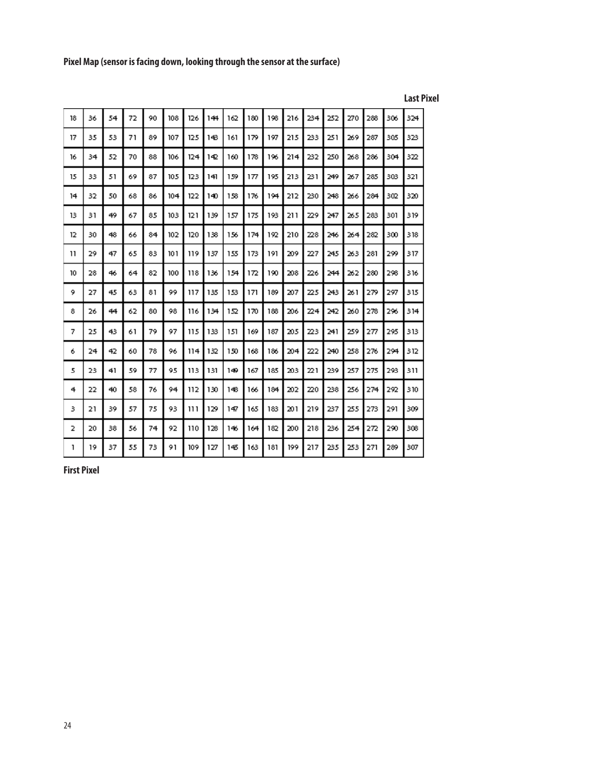**Pixel Map (sensor is facing down, looking through the sensor at the surface)**

| 18           | 36 | 54 | 72 | 90 | 108  | 126 | 144 | 162 | 180 | 198 | 216 | 234 | 252 | 270 | 288 | 306 | 324 |
|--------------|----|----|----|----|------|-----|-----|-----|-----|-----|-----|-----|-----|-----|-----|-----|-----|
| 17           | 35 | 53 | 71 | 89 | 107  | 125 | 148 | 161 | 179 | 197 | 215 | 233 | 251 | 269 | 287 | 305 | 323 |
| 16           | 34 | 52 | 70 | 88 | 106  | 124 | 142 | 160 | 178 | 196 | 214 | 232 | 250 | 268 | 286 | 304 | 322 |
| 15           | 33 | 51 | 69 | 87 | 105  | 123 | 141 | 159 | 177 | 195 | 213 | 231 | 249 | 267 | 285 | 303 | 321 |
| 14           | 32 | 50 | 68 | 86 | 104  | 122 | 140 | 158 | 176 | 194 | 212 | 230 | 248 | 266 | 284 | 302 | 320 |
| 13           | 31 | 49 | 67 | 85 | 103  | 121 | 139 | 157 | 175 | 193 | 211 | 229 | 247 | 265 | 283 | 301 | 319 |
| 12           | 30 | 48 | 66 | 84 | 102  | 120 | 138 | 156 | 174 | 192 | 210 | 228 | 246 | 264 | 282 | 300 | 318 |
| 11           | 29 | 47 | 65 | 83 | 10 1 | 119 | 137 | 155 | 173 | 191 | 209 | 227 | 245 | 263 | 281 | 299 | 317 |
| 10           | 28 | 46 | 64 | 82 | 100  | 118 | 136 | 154 | 172 | 190 | 208 | 226 | 244 | 262 | 280 | 298 | 316 |
| 9            | 27 | 45 | 63 | 81 | 99.  | 117 | 135 | 153 | 171 | 189 | 207 | 225 | 243 | 261 | 279 | 297 | 315 |
| 8            | 26 | 44 | 62 | 80 | 98   | 116 | 134 | 152 | 170 | 188 | 206 | 224 | 242 | 260 | 278 | 296 | 314 |
| 7            | 25 | 43 | 61 | 79 | 97   | 115 | 133 | 151 | 169 | 187 | 205 | 223 | 241 | 259 | 277 | 295 | 313 |
| 6            | 24 | 42 | 60 | 78 | 96   | 114 | 132 | 150 | 168 | 186 | 204 | 22  | 240 | 258 | 276 | 294 | 312 |
| 5            | 23 | 41 | 59 | 77 | 95   | 113 | 131 | 149 | 167 | 185 | 203 | 221 | 239 | 257 | 275 | 293 | 311 |
| 4            | 22 | 40 | 58 | 76 | 94   | 112 | 130 | 148 | 166 | 184 | 202 | 220 | 238 | 256 | 274 | 292 | 310 |
| 3            | 21 | 39 | 57 | 75 | 93   | ווו | 129 | 147 | 165 | 183 | 201 | 219 | 237 | 255 | 273 | 291 | 309 |
| 2            | 20 | 38 | 56 | 74 | 92   | 110 | 128 | 146 | 164 | 182 | 200 | 218 | 236 | 254 | 272 | 290 | 308 |
| $\mathbf{I}$ | 19 | 37 | 55 | 73 | 91   | 109 | 127 | 145 | 163 | 181 | 199 | 217 | 235 | 253 | 271 | 289 | 307 |

**Last Pixel**

**First Pixel**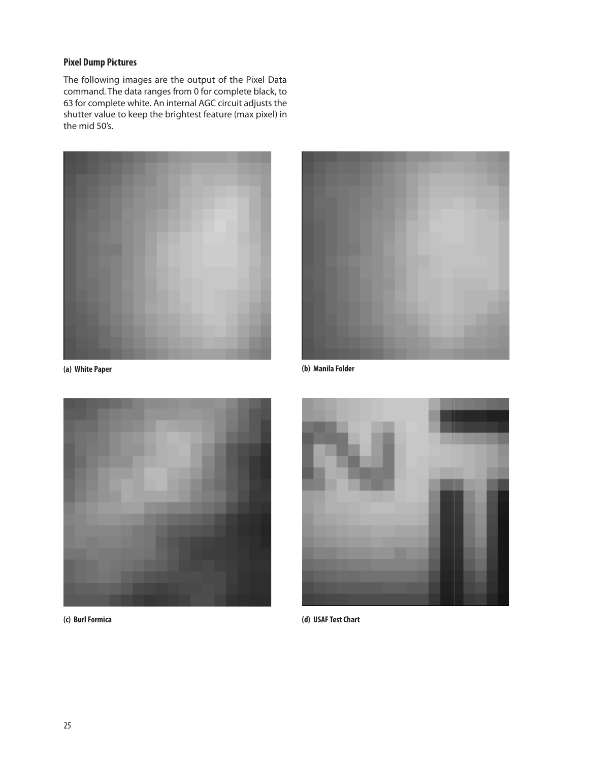## **Pixel Dump Pictures**

The following images are the output of the Pixel Data command. The data ranges from 0 for complete black, to 63 for complete white. An internal AGC circuit adjusts the shutter value to keep the brightest feature (max pixel) in the mid 50's.







**(a) White Paper (b) Manila Folder**

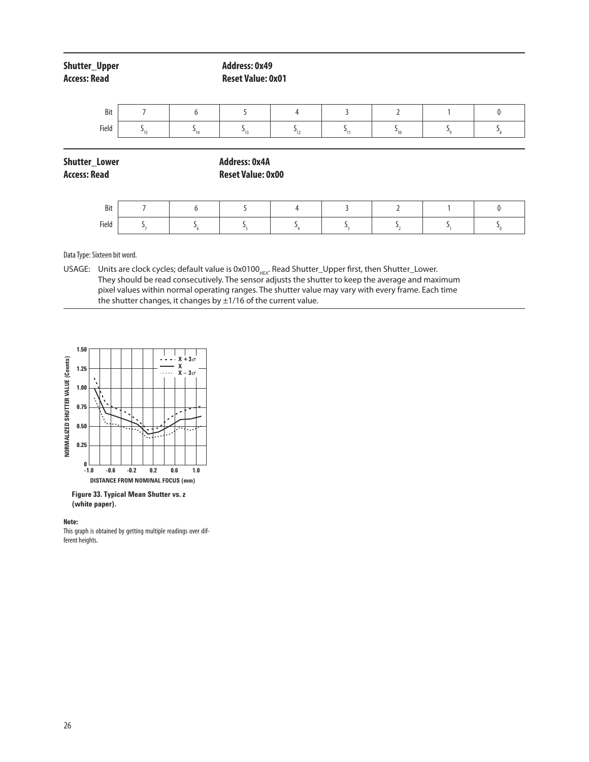| Shutter_Upper<br><b>Access: Read</b> |                |                      | <b>Address: 0x49</b><br><b>Reset Value: 0x01</b> |                |          |                      |                                      |                           |  |  |
|--------------------------------------|----------------|----------------------|--------------------------------------------------|----------------|----------|----------------------|--------------------------------------|---------------------------|--|--|
| Bit                                  | п              | 6                    | 5                                                | $\overline{4}$ | 3        | $\overline{2}$       |                                      | 0                         |  |  |
| Field                                | $S_{15}$       | $\mathsf{S}_{_{14}}$ | $S_{13}$                                         | $S_{12}$       | $S_{11}$ | $\mathsf{S}_{_{10}}$ | $\mathsf{S}_{\scriptscriptstyle{9}}$ | $\mathsf{S}_{\mathsf{8}}$ |  |  |
| Shutter_Lower<br><b>Access: Read</b> |                |                      | <b>Address: 0x4A</b><br><b>Reset Value: 0x00</b> |                |          |                      |                                      |                           |  |  |
| Bit                                  | $\overline{7}$ | 6                    | 5                                                | $\overline{4}$ | 3        | $\overline{2}$       | 1                                    | $\mathbf{0}$              |  |  |
| Field                                | $S_{7}$        | $S_{6}$              | $S_{\rm s}$                                      | $S_{4}$        | $S_3$    | $S_{2}$              | S,                                   | $S_{0}$                   |  |  |

Data Type: Sixteen bit word.

USAGE: Units are clock cycles; default value is 0x0100<sub>HEX</sub>. Read Shutter\_Upper first, then Shutter\_Lower. They should be read consecutively. The sensor adjusts the shutter to keep the average and maximum pixel values within normal operating ranges. The shutter value may vary with every frame. Each time the shutter changes, it changes by  $\pm 1/16$  of the current value.



**Figure 33. Typical Mean Shutter vs. z (white paper).**

#### **Note:**

This graph is obtained by getting multiple readings over different heights.